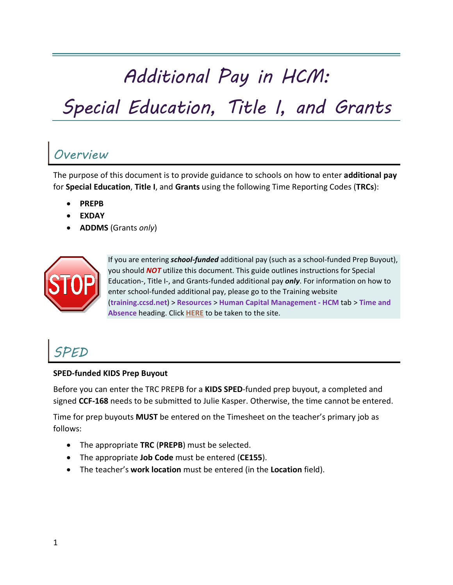# *Additional Pay in HCM:*

# *Special Education, Title I, and Grants*

## *Overview*

The purpose of this document is to provide guidance to schools on how to enter **additional pay**  for **Special Education**, **Title I**, and **Grants** using the following Time Reporting Codes (**TRCs**):

- **PREPB**
- **EXDAY**
- **ADDMS** (Grants *only*)



If you are entering *school-funded* additional pay (such as a school-funded Prep Buyout), you should *NOT* utilize this document. This guide outlines instructions for Special Education-, Title I-, and Grants-funded additional pay *only*. For information on how to enter school-funded additional pay, please go to the Training website (**training.ccsd.net**) > **Resources** > **Human Capital Management - HCM** tab > **Time and Absence** heading. Click **[HERE](https://training.ccsd.net/resources-2/)** to be taken to the site.

# *SPED*

#### **SPED-funded KIDS Prep Buyout**

Before you can enter the TRC PREPB for a **KIDS SPED**-funded prep buyout, a completed and signed **CCF-168** needs to be submitted to Julie Kasper. Otherwise, the time cannot be entered.

Time for prep buyouts **MUST** be entered on the Timesheet on the teacher's primary job as follows:

- The appropriate **TRC** (**PREPB**) must be selected.
- The appropriate **Job Code** must be entered (**CE155**).
- The teacher's **work location** must be entered (in the **Location** field).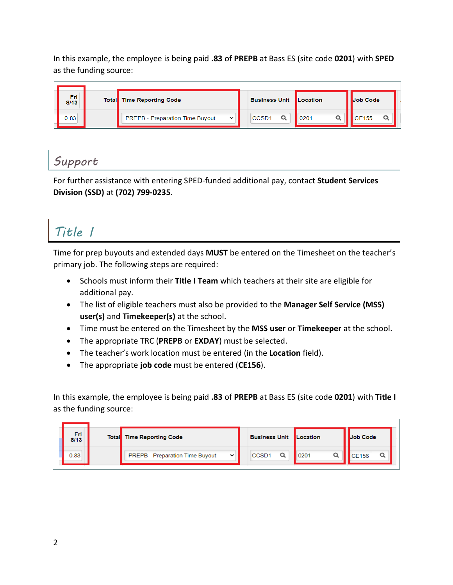In this example, the employee is being paid **.83** of **PREPB** at Bass ES (site code **0201**) with **SPED**  as the funding source:



#### *Support*

For further assistance with entering SPED-funded additional pay, contact **Student Services Division (SSD)** at **(702) 799-0235**.

# *Title I*

Time for prep buyouts and extended days **MUST** be entered on the Timesheet on the teacher's primary job. The following steps are required:

- Schools must inform their **Title I Team** which teachers at their site are eligible for additional pay.
- The list of eligible teachers must also be provided to the **Manager Self Service (MSS) user(s)** and **Timekeeper(s)** at the school.
- Time must be entered on the Timesheet by the **MSS user** or **Timekeeper** at the school.
- The appropriate TRC (**PREPB** or **EXDAY**) must be selected.
- The teacher's work location must be entered (in the **Location** field).
- The appropriate **job code** must be entered (**CE156**).

In this example, the employee is being paid **.83** of **PREPB** at Bass ES (site code **0201**) with **Title I** as the funding source:

| Fri<br>8/13 | <b>Total</b> Time Reporting Code                      | <b>Business Unit Location</b> |      | <b>Job Code</b> |  |
|-------------|-------------------------------------------------------|-------------------------------|------|-----------------|--|
| 0.83        | <b>PREPB</b> - Preparation Time Buyout<br>$\check{ }$ | CCSD <sub>1</sub>             | 0201 |                 |  |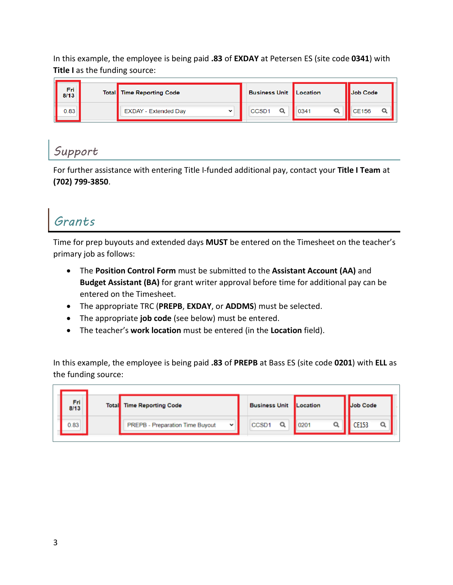In this example, the employee is being paid **.83** of **EXDAY** at Petersen ES (site code **0341**) with **Title I** as the funding source:

| Fri I<br>8/13 | <b>Total</b> Time Reporting Code           | <b>Business Unit Location</b> |      | <b>Il Job Code</b> |
|---------------|--------------------------------------------|-------------------------------|------|--------------------|
| 0.83          | <b>EXDAY - Extended Day</b><br>$\check{ }$ | CCSD <sub>1</sub>             | 0341 | <b>CE156</b>       |

#### *Support*

For further assistance with entering Title I-funded additional pay, contact your **Title I Team** at **(702) 799-3850**.

## *Grants*

Time for prep buyouts and extended days **MUST** be entered on the Timesheet on the teacher's primary job as follows:

- The **Position Control Form** must be submitted to the **Assistant Account (AA)** and **Budget Assistant (BA)** for grant writer approval before time for additional pay can be entered on the Timesheet.
- The appropriate TRC (**PREPB**, **EXDAY**, or **ADDMS**) must be selected.
- The appropriate **job code** (see below) must be entered.
- The teacher's **work location** must be entered (in the **Location** field).

In this example, the employee is being paid **.83** of **PREPB** at Bass ES (site code **0201**) with **ELL** as the funding source:

| Fri<br>8/13 | <b>Total</b> Time Reporting Code     |  | <b>Business Unit</b> | Location | Job Code     |  |
|-------------|--------------------------------------|--|----------------------|----------|--------------|--|
| 0.83        | PREPB - Preparation Time Buyout<br>v |  | CCSD1                | 020'     | <b>CE153</b> |  |